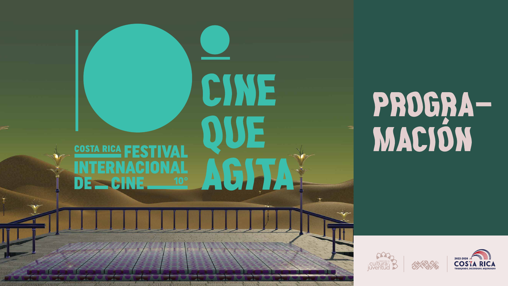## **COSTA RICA | FESTIVAL** INTERNACIONAL DE SCINE



# PROGRA-<br>MACIÓN





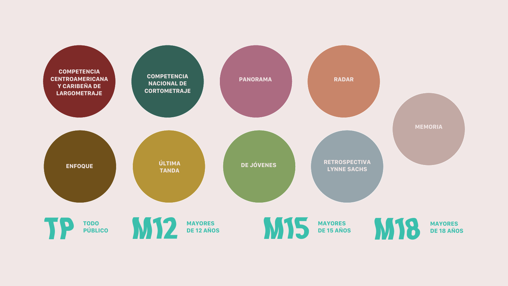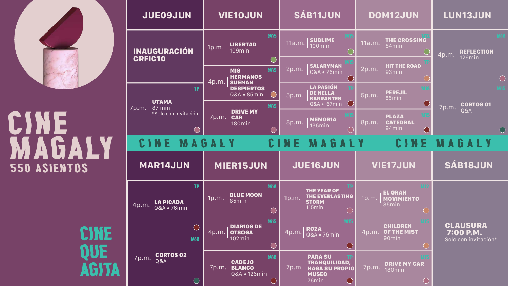

| <b>JUE09JUN</b>                                       | <b>VIE10JUN</b>                                                              | <b>SÁB11JUN</b>                                                                        | <b>DOM12JUN</b>                                                                           | <b>LUN13JUN</b>                              |
|-------------------------------------------------------|------------------------------------------------------------------------------|----------------------------------------------------------------------------------------|-------------------------------------------------------------------------------------------|----------------------------------------------|
| <b>INAUGURACIÓN</b>                                   | <b>M15</b><br><b>LIBERTAD</b><br>1p.m.<br><b>109min</b>                      | <b>MS</b><br><b>SUBLIME</b><br>11a.m.<br>100min                                        | THE CROSSING<br>11a.m.<br>84min                                                           | <b>REFLECTION</b><br>4p.m.                   |
| <b>CRFIC10</b>                                        | <b>M15</b><br><b>MIS</b><br><b>HERMANOS</b><br>4p.m.<br><b>SUEÑAN</b>        | <b>SALARYMAN</b><br>2p.m.<br>Q&A . 76min                                               | <b>HIT THE ROAD</b><br>2p.m.<br>93min                                                     | <b>126min</b>                                |
| TP<br><b>UTAMA</b>                                    | <b>DESPIERTOS</b><br>Q&A • 85min<br><b>M15</b>                               | <b>LA PASIÓN</b><br><b>DE NELLA</b><br>5p.m.<br><b>BARRANTES</b><br>Q&A • 67min        | <b>M1</b><br><b>PEREJIL</b><br>5p.m.<br>85min                                             | <b>CORTOS 01</b>                             |
| 87 min<br>7p.m.<br>*Solo con invitación               | <b>DRIVE MY</b><br>7p.m.<br><b>CAR</b><br>$^{\prime}$ 180 $\text{min}$       | 8p.m. MEMORIA<br><b>136min</b>                                                         | <b>MT</b><br><b>PLAZA</b><br>8p.m.<br><b>CATEDRAL</b><br>94min                            | 7p.m.<br>Q&A                                 |
| CINE MAGALY                                           |                                                                              | CINE MAGALY                                                                            | CINE                                                                                      | MAGALY                                       |
| <b>MAR14JUN</b>                                       | <b>MIER15JUN</b>                                                             | <b>JUE16JUN</b>                                                                        | <b>VIE17JUN</b>                                                                           | SÁB18JUN                                     |
| <b>TP</b><br><b>LA PICADA</b><br>4p.m.<br>Q&A . 76min | <b>M18</b><br><b>BLUE MOON</b><br>1p.m.<br>85min                             | <b>THE YEAR OF</b><br><b>THE EVERLASTING</b><br>1p.m.<br><b>STORM</b><br><b>115min</b> | <b>M12</b><br><b>EL GRAN</b><br>1p.m.<br><b>MOVIMIENTO</b><br>85min                       |                                              |
| <b>M18</b>                                            | <b>M15</b><br><b>DIARIOS DE</b><br><u> 4</u> p.m.<br><b>OTSOGA</b><br>102min | M <sub>15</sub><br><b>ROZA</b><br>4p.m.<br><b>Q&amp;A • 76min</b>                      | <b>M15</b><br><b>CHILDREN</b><br><b>OF THE MIST</b><br><u> 4p.m.</u><br>90 <sub>min</sub> | CLAUSURA<br>7:00 P.M.<br>Solo con invitación |
| <b>CORTOS 02</b><br>7p.m.<br>Q&A                      | <b>M18</b><br><b>CADEJO</b>                                                  | <b>PARA SU</b><br><b>TRANQUILIDAD,<br/>HAGA SU PROPIO</b>                              | <b>MIS</b><br><b>DRIVE MY CAR</b>                                                         |                                              |



# CINE MAGALY 550 asientos

 $\overline{\phantom{a}}$ QUE<br>AGITA





 $\bigcirc$ 

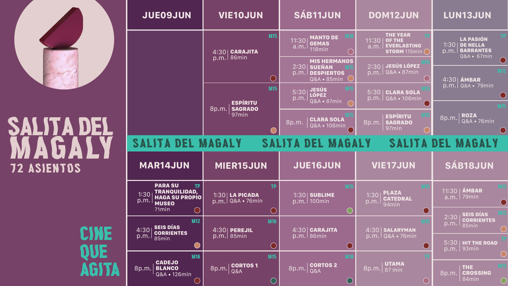







## SALITA DEL MAGALY 72 asientos

CINE 12 QUE<br>AGITA

| <b>JUE09JUN</b>                                                                                       | <b>VIE10JUN</b>                                   | <b>SÁB11JUN</b>                                                                      | <b>DOM12JUN</b>                                                                                  | <b>LUN13JUN</b>                                                                        |
|-------------------------------------------------------------------------------------------------------|---------------------------------------------------|--------------------------------------------------------------------------------------|--------------------------------------------------------------------------------------------------|----------------------------------------------------------------------------------------|
|                                                                                                       | <b>M15</b><br><b>CARAJITA</b><br>4:30             | <b>M18</b><br><b>MANTO DE</b><br>11:30<br><b>GEMAS</b><br>a.m.<br>118min             | <b>THE YEAR</b><br>11:30<br><b>OF THE</b><br><b>EVERLASTING</b><br>a.m.<br><b>STORM</b> 115min ( | <b>LA PASIÓN</b><br>1:30<br><b>DE NELLA</b><br><b>BARRANTES</b><br>p.m.<br>Q&A • 67min |
|                                                                                                       | 86min<br>p.m.                                     | <b>MIS HERMANOS</b><br>2:30<br><b>SUEÑAN</b><br>p.m. DESPIERTOS<br>Q&A . 85min       | 2:30 JESÚS LÓPEZ<br>  Q&A • 87min<br>p.m.                                                        | <b>M12</b><br>$4:30$ $\acute{a}$ MBAR                                                  |
|                                                                                                       | <b>M15</b><br><b>ESPÍRITU</b>                     | <b>M<sub>15</sub></b><br><b>JESÚS</b><br>5:30<br><b>LÓPEZ</b><br>p.m.<br>Q&A • 87min | 5:30   CLARA SOLA<br>p.m.   Q&A • 106min                                                         | <u>p.m. Q&amp;A • 79min</u><br><b>M<sub>15</sub></b>                                   |
|                                                                                                       | 8p.m.<br><b>SAGRADO</b><br>97min                  | 8p.m. CLARA SOLA<br><b>Q&amp;A • 106min</b>                                          | <b>ESPÍRITU</b><br>8p.m.   SAGRADO<br>97min                                                      | <b>ROZA</b><br>8p.m.<br>Q&A • 76min                                                    |
| SALITA DEL MAGALY                                                                                     |                                                   | SALITA DEL MAGALY                                                                    |                                                                                                  | SALITA DEL MAGALY                                                                      |
| <b>MAR14JUN</b>                                                                                       | <b>MIER15JUN</b>                                  | <b>JUE16JUN</b>                                                                      | <b>VIE17JUN</b>                                                                                  | <b>SÁB18JUN</b>                                                                        |
| <b>PARA SU</b><br><b>TP</b><br>TRANQUILIDAD,<br>1:30<br><b>HAGA SU PROPIO</b><br>p.m.<br><b>MUSEO</b> | TP<br><b>1:30   LA PICADA</b><br>p.m. Q&A • 76min | M <sub>15</sub><br><b>1:30 SUBLIME</b><br>100min<br>p.m.                             | <b>PLAZA</b><br>1:30<br><b>CATEDRAL</b><br>p.m.<br>94 <sub>min</sub>                             | <b>M12</b><br>11:30   AMBAR<br>a.m.   79min                                            |
| 71 <sub>min</sub><br><b>M12</b><br><b>SEIS DÍAS</b><br>4:30                                           | <b>M18</b><br>4:30<br>PEREJIL                     | $ 4:30 $ Carajita                                                                    | 4:30<br><b>SALARYMAN</b>                                                                         | <b>SEIS DÍAS</b><br>2:30<br><b>CORRIENTES</b><br>p.m.<br>85min                         |
| <b>CORRIENTES</b><br>p.m.<br>85min                                                                    | 85min<br>$\overline{\mathsf{p.m.}}$               | 86min<br>$\overline{\mathsf{p.m.}}$                                                  | Q&A • 76min<br>p.m.                                                                              | $5:30$   HIT THE ROAD<br>$p.m.$ 93min                                                  |
| <b>M18</b><br><b>CADEJO</b><br>BLANCO<br>Q&A • 126min<br>8p.m.                                        | M <sub>15</sub><br><b>CORTOS1</b><br>8p.m.<br>Q&A | <b>M18</b><br><b>CORTOS 2</b><br>8p.m.<br>Q&A                                        | <b>UTAMA</b><br>$\boxed{8p.m.}$ $\boxed{87}$ min                                                 | <b>M12</b><br><b>THE</b><br>8p.m.<br><b>CROSSING</b>                                   |







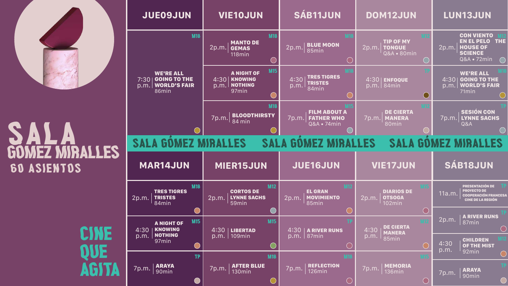









# SALA<br>Gomez Miralles 60 asientos

CINE QUE<br>AGITA

| <b>JUE09JUN</b>                                                                         | <b>VIE10JUN</b>                                                                                          | <b>SÁB11JUN</b>                                                                | <b>DOM12JUN</b>                                                      | <b>LUN13JUN</b>                                                                                                  |  |
|-----------------------------------------------------------------------------------------|----------------------------------------------------------------------------------------------------------|--------------------------------------------------------------------------------|----------------------------------------------------------------------|------------------------------------------------------------------------------------------------------------------|--|
| <b>M18</b>                                                                              | <b>M18</b><br><b>MANTO DE</b><br>2p.m.<br><b>GEMAS</b><br>118min                                         | <b>M18</b><br><b>BLUE MOON</b><br>2p.m.<br>85min                               | <b>TIP OF MY</b><br>2p.m.<br><b>TONGUE</b><br><b>Q&amp;A • 80min</b> | <b>CON VIENTO</b><br><b>EN EL PELO TH</b><br><b>HOUSE OF</b><br>2p.m.<br><b>SCIENCE</b><br>Q&A • 72min           |  |
| <b>WE'RE ALL</b><br><b>GOING TO THE</b><br>7:30<br><b>WORLD'S FAIR</b><br>p.m.<br>86min | <b>M15</b><br><b>A NIGHT OF</b><br><b>KNOWING</b><br>4:30<br><b>NOTHING</b><br>p.m.<br>97 <sub>min</sub> | <b>TRES TIGRES</b><br>4:30<br><b>TRISTES</b><br>p.m.<br>84min                  | 4:30<br><b>ENFOQUE</b><br>84min<br>p.m.                              | <b>WE'RE ALL</b><br>4:30<br><b>GOING TO THE</b><br><b>WORLD'S FAIR</b><br>p.m.<br>71min                          |  |
|                                                                                         | <b>M18</b><br><b>BLOODTHIRSTY</b><br>7p.m.<br>$\perp$ 84 min                                             | <b>VIS</b><br><b>FILM ABOUT A</b><br><b>FATHER WHO</b><br>7p.m.<br>Q&A • 74min | <b>DE CIERTA</b><br><b>MANERA</b><br><u>7p.m.</u><br>80min           | <b>SESIÓN CON</b><br><b>LYNNE SACHS</b><br><u>7p.m</u><br>$\overline{Q}$ Q&A                                     |  |
| <b>SALA GOMEZ MIRALLES</b>                                                              |                                                                                                          | <b>SALA GOMEZ MIRALLES</b>                                                     |                                                                      | <b>SALA GOMEZ MIRALLES</b>                                                                                       |  |
|                                                                                         |                                                                                                          |                                                                                |                                                                      |                                                                                                                  |  |
| <b>MAR14JUN</b>                                                                         | <b>MIER15JUN</b>                                                                                         | <b>JUE16JUN</b>                                                                | <b>VIE17JUN</b>                                                      | <b>SÁB18JUN</b>                                                                                                  |  |
| <b>M18</b><br><b>TRES TIGRES</b><br><b>TRISTES</b><br>2p.m.<br>84min                    | <b>M12</b><br><b>CORTOS DE</b><br><b>LYNNE SACHS</b><br>2p.m.<br>59min                                   | <b>M12</b><br><b>EL GRAN</b><br><b>MOVIMIENTO</b><br>2p.m.<br>85min            | <b>DIARIOS DE</b><br><b>OTSOGA</b><br>2p.m.<br>102min                | <b>PRESENTACIÓN DE</b><br><b>PROYECTO DE</b><br>11a.m.<br><b>COOPERACIÓN FRANCES</b><br><b>CINE DE LA REGIÓN</b> |  |
| <b>M15</b><br><b>A NIGHT OF</b><br><b>KNOWING</b><br>4:30                               | <b>M15</b><br>4:30<br><b>LIBERTAD</b>                                                                    | TP.<br>4:30<br><b>ARIVER RUNS</b>                                              | <b>DE CIERTA</b><br>4:30<br><b>MANERA</b>                            | <b>A RIVER RUNS</b><br>2p.m.<br>87min                                                                            |  |
| <b>NOTHING</b><br>p.m.<br>97min                                                         | 109min<br>p.m.                                                                                           | 87min<br>p.m.                                                                  | p.m.<br>85min                                                        | <b>CHILDREN</b><br>4:30<br>OF THE MIST<br>p.m.                                                                   |  |
| <b>TP</b><br><b>ARAYA</b><br>90min<br>7p.m.                                             | <b>M18</b><br><b>AFTER BLUE</b><br>7p.m.<br>130min                                                       | <b>M18</b><br><b>REFLECTION</b><br>7p.m.<br>126min                             | <b>M15</b><br><b>MEMORIA</b><br>136min<br>7p.m.                      | 92min<br><b>ARAYA</b><br>7p.m.<br>90min                                                                          |  |







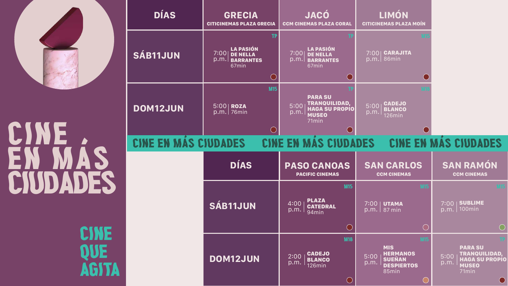

# CINE<br>EN MÁ CIUDADES.

CINE QUE<br>AGITA

| <b>DÍAS</b>          | <b>GRECIA</b><br><b>CITICINEMAS PLAZA GRECIA</b>                                       | JACÓ<br>CCM CINEMAS PLAZA CORAL                                                                   | LIMÓN<br><b>CITICINEMAS PLAZA MOÍN</b>                                                       |                                                                                                         |
|----------------------|----------------------------------------------------------------------------------------|---------------------------------------------------------------------------------------------------|----------------------------------------------------------------------------------------------|---------------------------------------------------------------------------------------------------------|
| <b>SÁB11JUN</b>      | <b>TP</b><br>LA PASIÓN<br>7:00<br><b>DE NELLA</b><br>p.m.<br><b>BARRANTES</b><br>67min | <b>LA PASIÓN</b><br>7:00<br><b>DE NELLA</b><br>p.m.<br><b>BARRANTES</b><br>67min                  | <b>CARAJITA</b><br>7:001<br>86min<br>p.m.                                                    |                                                                                                         |
| <b>DOM12JUN</b>      | <b>M15</b><br>$ 5:00 $ ROZA<br>76min<br>p.m.                                           | <b>PARA SU</b><br>TRANQUILIDAD,<br>5:00<br><b>HAGA SU PROPIO</b><br>p.m.<br><b>MUSEO</b><br>71min | CADEJO<br>5:00<br><b>BLANCO</b><br>p.m.<br>126min                                            |                                                                                                         |
| CINE EN MÁS CIUDADES |                                                                                        | CINE EN MAS CIUDADES                                                                              |                                                                                              | CINE EN MAS CIUDADES                                                                                    |
|                      | <b>DÍAS</b>                                                                            | <b>PASO CANOAS</b><br><b>PACIFIC CINEMAS</b>                                                      | <b>SAN CARLOS</b><br><b>CCM CINEMAS</b>                                                      | <b>SAN RAMÓN</b><br><b>CCM CINEMAS</b>                                                                  |
|                      | <b>SÁB11JUN</b>                                                                        | <b>M15</b><br><b>PLAZA</b><br>4:00<br><b>CATEDRAL</b><br>p.m.<br>94min                            | <b>M<sub>15</sub></b><br>$7:00$  <br><b>UTAMA</b><br>p.m.   87 min                           | <b>SUBLIME</b><br>7:00<br>100min<br>p.m.                                                                |
|                      |                                                                                        | <b>M18</b>                                                                                        |                                                                                              |                                                                                                         |
|                      | <b>DOM12JUN</b>                                                                        | <b>CADEJO</b><br>2:00<br><b>BLANCO</b><br>p.m.<br>$126$ min                                       | <b>MIS</b><br><b>HERMANOS</b><br>5:00<br><b>SUEÑAN</b><br>p.m.<br><b>DESPIERTOS</b><br>85min | <b>PARA SU</b><br><b>TRANQUILIDAD,</b><br>5:00<br><b>HAGA SU PROPI</b><br>p.m.<br><b>MUSEO</b><br>71min |

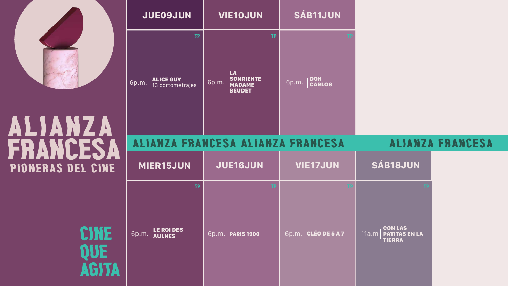

## pioneras del cine alianza FRANCESA

|                                          | <b>JUE09JUN</b>                                            | <b>VIE10JUN</b>                                                                | <b>SÁB11JUN</b>        |                                                                  |                         |
|------------------------------------------|------------------------------------------------------------|--------------------------------------------------------------------------------|------------------------|------------------------------------------------------------------|-------------------------|
| $\overline{\phantom{a}}$<br>$\mathbf{A}$ | <b>TP</b><br><b>ALICE GUY</b><br>6p.m.<br>13 cortometrajes | <b>TP</b><br>LA<br><b>SONRIENTE</b><br>6p.m.<br><b>MADAME</b><br><b>BEUDET</b> | DON<br>6p.m.<br>CARLOS |                                                                  |                         |
| FS.                                      |                                                            | ALIANZA FRANCESA ALIANZA FRANCESA                                              |                        |                                                                  | <b>ALIANZA FRANCESA</b> |
| EL CINE                                  | <b>MIER15JUN</b>                                           | <b>JUE16JUN</b>                                                                | <b>VIE17JUN</b>        | <b>SÁB18JUN</b>                                                  |                         |
| QUE<br>AGITA                             | <b>TP</b><br><b>LE ROI DES</b><br>6p.m.<br><b>AULNES</b>   | 6p.m.<br><b>PARIS 1900</b>                                                     | 6p.m. CLÉO DE 5 A 7    | <b>CON LAS</b><br>11a.m<br><b>PATITAS EN LA</b><br><b>TIERRA</b> |                         |